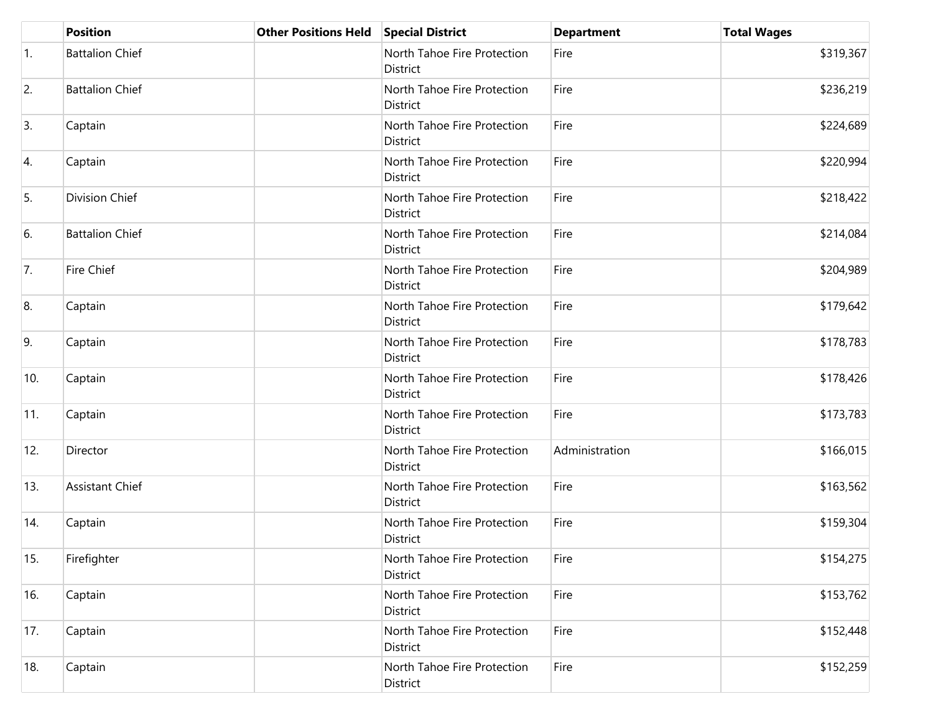|     | <b>Position</b>        | <b>Other Positions Held</b> | <b>Special District</b>                 | <b>Department</b> | <b>Total Wages</b> |
|-----|------------------------|-----------------------------|-----------------------------------------|-------------------|--------------------|
| 1.  | <b>Battalion Chief</b> |                             | North Tahoe Fire Protection<br>District | Fire              | \$319,367          |
| 2.  | <b>Battalion Chief</b> |                             | North Tahoe Fire Protection<br>District | Fire              | \$236,219          |
| 3.  | Captain                |                             | North Tahoe Fire Protection<br>District | Fire              | \$224,689          |
| 4.  | Captain                |                             | North Tahoe Fire Protection<br>District | Fire              | \$220,994          |
| 5.  | Division Chief         |                             | North Tahoe Fire Protection<br>District | Fire              | \$218,422          |
| 6.  | <b>Battalion Chief</b> |                             | North Tahoe Fire Protection<br>District | Fire              | \$214,084          |
| 7.  | Fire Chief             |                             | North Tahoe Fire Protection<br>District | Fire              | \$204,989          |
| 8.  | Captain                |                             | North Tahoe Fire Protection<br>District | Fire              | \$179,642          |
| 9.  | Captain                |                             | North Tahoe Fire Protection<br>District | Fire              | \$178,783          |
| 10. | Captain                |                             | North Tahoe Fire Protection<br>District | Fire              | \$178,426          |
| 11. | Captain                |                             | North Tahoe Fire Protection<br>District | Fire              | \$173,783          |
| 12. | Director               |                             | North Tahoe Fire Protection<br>District | Administration    | \$166,015          |
| 13. | <b>Assistant Chief</b> |                             | North Tahoe Fire Protection<br>District | Fire              | \$163,562          |
| 14. | Captain                |                             | North Tahoe Fire Protection<br>District | Fire              | \$159,304          |
| 15. | Firefighter            |                             | North Tahoe Fire Protection<br>District | Fire              | \$154,275          |
| 16. | Captain                |                             | North Tahoe Fire Protection<br>District | Fire              | \$153,762          |
| 17. | Captain                |                             | North Tahoe Fire Protection<br>District | Fire              | \$152,448          |
| 18. | Captain                |                             | North Tahoe Fire Protection<br>District | Fire              | \$152,259          |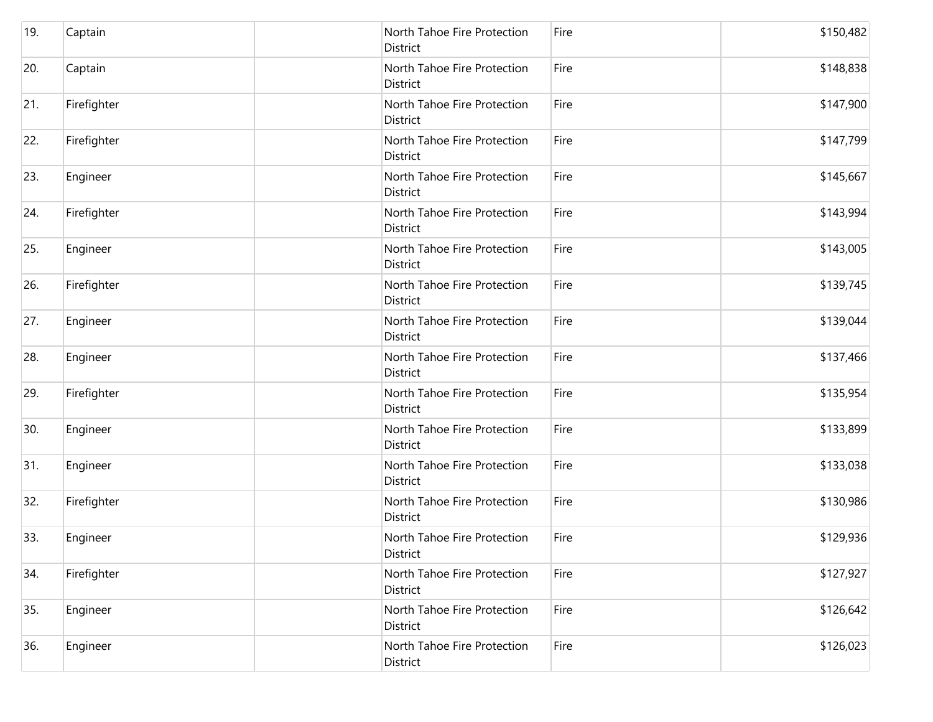| 19. | Captain     | North Tahoe Fire Protection<br>District | Fire | \$150,482 |
|-----|-------------|-----------------------------------------|------|-----------|
| 20. | Captain     | North Tahoe Fire Protection<br>District | Fire | \$148,838 |
| 21. | Firefighter | North Tahoe Fire Protection<br>District | Fire | \$147,900 |
| 22. | Firefighter | North Tahoe Fire Protection<br>District | Fire | \$147,799 |
| 23. | Engineer    | North Tahoe Fire Protection<br>District | Fire | \$145,667 |
| 24. | Firefighter | North Tahoe Fire Protection<br>District | Fire | \$143,994 |
| 25. | Engineer    | North Tahoe Fire Protection<br>District | Fire | \$143,005 |
| 26. | Firefighter | North Tahoe Fire Protection<br>District | Fire | \$139,745 |
| 27. | Engineer    | North Tahoe Fire Protection<br>District | Fire | \$139,044 |
| 28. | Engineer    | North Tahoe Fire Protection<br>District | Fire | \$137,466 |
| 29. | Firefighter | North Tahoe Fire Protection<br>District | Fire | \$135,954 |
| 30. | Engineer    | North Tahoe Fire Protection<br>District | Fire | \$133,899 |
| 31. | Engineer    | North Tahoe Fire Protection<br>District | Fire | \$133,038 |
| 32. | Firefighter | North Tahoe Fire Protection<br>District | Fire | \$130,986 |
| 33. | Engineer    | North Tahoe Fire Protection<br>District | Fire | \$129,936 |
| 34. | Firefighter | North Tahoe Fire Protection<br>District | Fire | \$127,927 |
| 35. | Engineer    | North Tahoe Fire Protection<br>District | Fire | \$126,642 |
| 36. | Engineer    | North Tahoe Fire Protection<br>District | Fire | \$126,023 |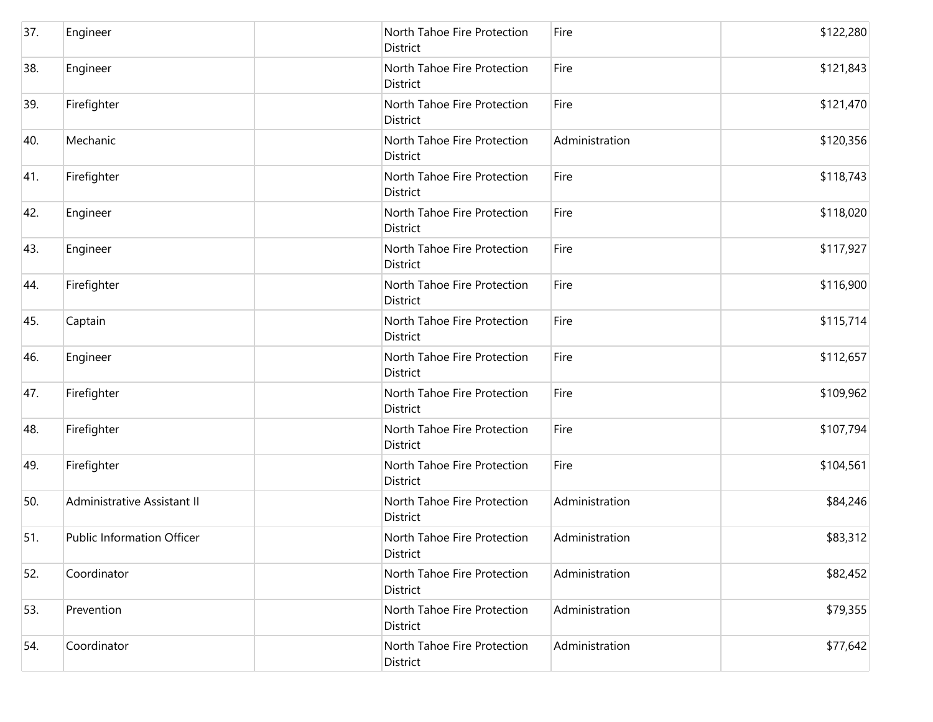| 37. | Engineer                    | North Tahoe Fire Protection<br>District        | Fire           | \$122,280 |
|-----|-----------------------------|------------------------------------------------|----------------|-----------|
| 38. | Engineer                    | North Tahoe Fire Protection<br>District        | Fire           | \$121,843 |
| 39. | Firefighter                 | North Tahoe Fire Protection<br>District        | Fire           | \$121,470 |
| 40. | Mechanic                    | North Tahoe Fire Protection<br><b>District</b> | Administration | \$120,356 |
| 41. | Firefighter                 | North Tahoe Fire Protection<br>District        | Fire           | \$118,743 |
| 42. | Engineer                    | North Tahoe Fire Protection<br>District        | Fire           | \$118,020 |
| 43. | Engineer                    | North Tahoe Fire Protection<br><b>District</b> | Fire           | \$117,927 |
| 44. | Firefighter                 | North Tahoe Fire Protection<br>District        | Fire           | \$116,900 |
| 45. | Captain                     | North Tahoe Fire Protection<br><b>District</b> | Fire           | \$115,714 |
| 46. | Engineer                    | North Tahoe Fire Protection<br>District        | Fire           | \$112,657 |
| 47. | Firefighter                 | North Tahoe Fire Protection<br>District        | Fire           | \$109,962 |
| 48. | Firefighter                 | North Tahoe Fire Protection<br><b>District</b> | Fire           | \$107,794 |
| 49. | Firefighter                 | North Tahoe Fire Protection<br>District        | Fire           | \$104,561 |
| 50. | Administrative Assistant II | North Tahoe Fire Protection<br>District        | Administration | \$84,246  |
| 51. | Public Information Officer  | North Tahoe Fire Protection<br>District        | Administration | \$83,312  |
| 52. | Coordinator                 | North Tahoe Fire Protection<br>District        | Administration | \$82,452  |
| 53. | Prevention                  | North Tahoe Fire Protection<br>District        | Administration | \$79,355  |
| 54. | Coordinator                 | North Tahoe Fire Protection<br>District        | Administration | \$77,642  |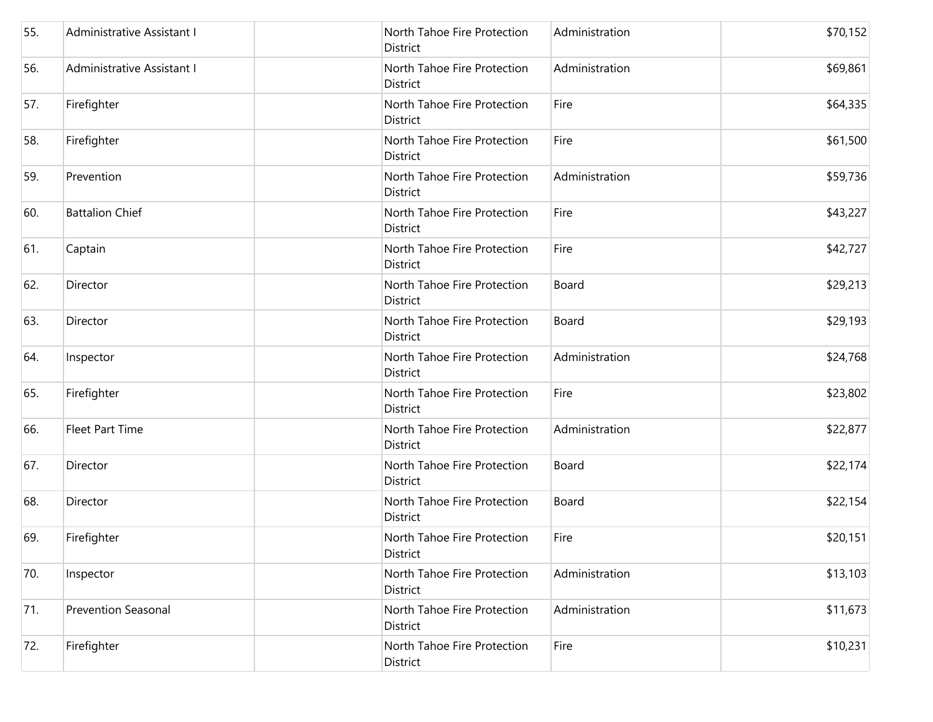| 55. | Administrative Assistant I | North Tahoe Fire Protection<br>District        | Administration | \$70,152 |
|-----|----------------------------|------------------------------------------------|----------------|----------|
| 56. | Administrative Assistant I | North Tahoe Fire Protection<br><b>District</b> | Administration | \$69,861 |
| 57. | Firefighter                | North Tahoe Fire Protection<br>District        | Fire           | \$64,335 |
| 58. | Firefighter                | North Tahoe Fire Protection<br>District        | Fire           | \$61,500 |
| 59. | Prevention                 | North Tahoe Fire Protection<br>District        | Administration | \$59,736 |
| 60. | <b>Battalion Chief</b>     | North Tahoe Fire Protection<br>District        | Fire           | \$43,227 |
| 61. | Captain                    | North Tahoe Fire Protection<br>District        | Fire           | \$42,727 |
| 62. | Director                   | North Tahoe Fire Protection<br>District        | Board          | \$29,213 |
| 63. | Director                   | North Tahoe Fire Protection<br>District        | Board          | \$29,193 |
| 64. | Inspector                  | North Tahoe Fire Protection<br>District        | Administration | \$24,768 |
| 65. | Firefighter                | North Tahoe Fire Protection<br><b>District</b> | Fire           | \$23,802 |
| 66. | <b>Fleet Part Time</b>     | North Tahoe Fire Protection<br>District        | Administration | \$22,877 |
| 67. | Director                   | North Tahoe Fire Protection<br><b>District</b> | Board          | \$22,174 |
| 68. | Director                   | North Tahoe Fire Protection<br>District        | Board          | \$22,154 |
| 69. | Firefighter                | North Tahoe Fire Protection<br>District        | Fire           | \$20,151 |
| 70. | Inspector                  | North Tahoe Fire Protection<br>District        | Administration | \$13,103 |
| 71. | <b>Prevention Seasonal</b> | North Tahoe Fire Protection<br>District        | Administration | \$11,673 |
| 72. | Firefighter                | North Tahoe Fire Protection<br>District        | Fire           | \$10,231 |